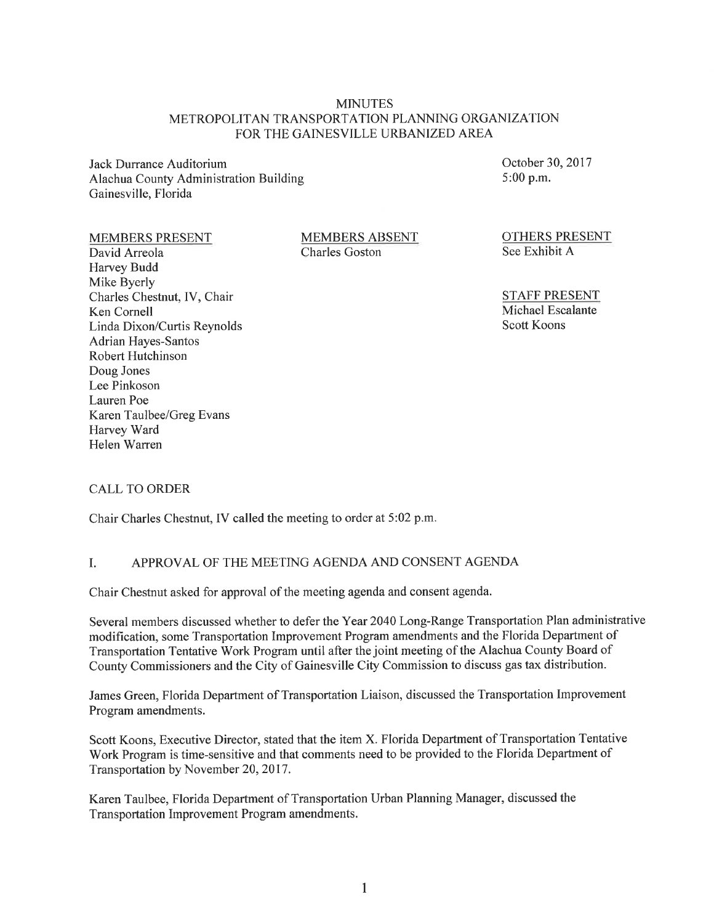# **MINUTES** METROPOLITAN TRANSPORTATION PLANNING ORGANIZATION FOR THE GAINESVILLE URBANIZED AREA

Jack Durrance Auditorium Alachua County Administration Building Gainesville, Florida

### **MEMBERS PRESENT**

**MEMBERS ABSENT Charles Goston** 

**OTHERS PRESENT** 

October 30, 2017

 $5:00$  p.m.

See Exhibit A

**STAFF PRESENT** Michael Escalante Scott Koons

David Arreola Harvey Budd Mike Byerly Charles Chestnut, IV, Chair Ken Cornell Linda Dixon/Curtis Reynolds **Adrian Hayes-Santos** Robert Hutchinson Doug Jones Lee Pinkoson Lauren Poe Karen Taulbee/Greg Evans Harvey Ward Helen Warren

# **CALL TO ORDER**

Chair Charles Chestnut, IV called the meeting to order at 5:02 p.m.

#### APPROVAL OF THE MEETING AGENDA AND CONSENT AGENDA  $I.$

Chair Chestnut asked for approval of the meeting agenda and consent agenda.

Several members discussed whether to defer the Year 2040 Long-Range Transportation Plan administrative modification, some Transportation Improvement Program amendments and the Florida Department of Transportation Tentative Work Program until after the joint meeting of the Alachua County Board of County Commissioners and the City of Gainesville City Commission to discuss gas tax distribution.

James Green, Florida Department of Transportation Liaison, discussed the Transportation Improvement Program amendments.

Scott Koons, Executive Director, stated that the item X. Florida Department of Transportation Tentative Work Program is time-sensitive and that comments need to be provided to the Florida Department of Transportation by November 20, 2017.

Karen Taulbee, Florida Department of Transportation Urban Planning Manager, discussed the Transportation Improvement Program amendments.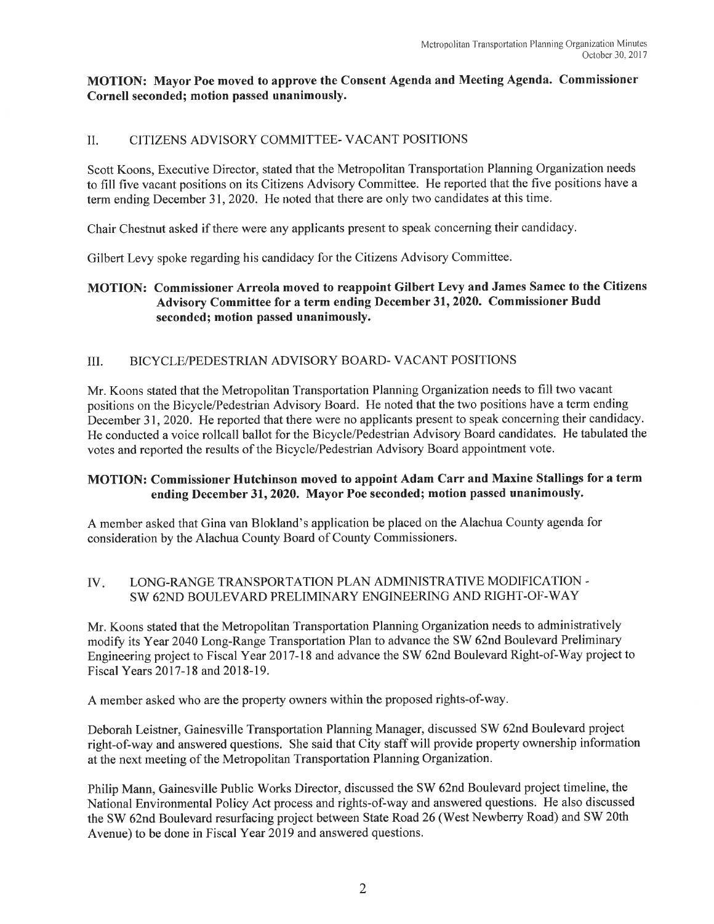# MOTION: Mayor Poe moved to approve the Consent Agenda and Meeting Agenda. Commissioner Cornell seconded; motion passed unanimously.

#### $II.$ CITIZENS ADVISORY COMMITTEE- VACANT POSITIONS

Scott Koons, Executive Director, stated that the Metropolitan Transportation Planning Organization needs to fill five vacant positions on its Citizens Advisory Committee. He reported that the five positions have a term ending December 31, 2020. He noted that there are only two candidates at this time.

Chair Chestnut asked if there were any applicants present to speak concerning their candidacy.

Gilbert Levy spoke regarding his candidacy for the Citizens Advisory Committee.

# MOTION: Commissioner Arreola moved to reappoint Gilbert Levy and James Samec to the Citizens Advisory Committee for a term ending December 31, 2020. Commissioner Budd seconded; motion passed unanimously.

#### BICYCLE/PEDESTRIAN ADVISORY BOARD- VACANT POSITIONS III.

Mr. Koons stated that the Metropolitan Transportation Planning Organization needs to fill two vacant positions on the Bicycle/Pedestrian Advisory Board. He noted that the two positions have a term ending December 31, 2020. He reported that there were no applicants present to speak concerning their candidacy. He conducted a voice rollcall ballot for the Bicycle/Pedestrian Advisory Board candidates. He tabulated the votes and reported the results of the Bicycle/Pedestrian Advisory Board appointment vote.

# MOTION: Commissioner Hutchinson moved to appoint Adam Carr and Maxine Stallings for a term ending December 31, 2020. Mayor Poe seconded; motion passed unanimously.

A member asked that Gina van Blokland's application be placed on the Alachua County agenda for consideration by the Alachua County Board of County Commissioners.

### LONG-RANGE TRANSPORTATION PLAN ADMINISTRATIVE MODIFICATION - $IV<sub>2</sub>$ SW 62ND BOULEVARD PRELIMINARY ENGINEERING AND RIGHT-OF-WAY

Mr. Koons stated that the Metropolitan Transportation Planning Organization needs to administratively modify its Year 2040 Long-Range Transportation Plan to advance the SW 62nd Boulevard Preliminary Engineering project to Fiscal Year 2017-18 and advance the SW 62nd Boulevard Right-of-Way project to Fiscal Years 2017-18 and 2018-19.

A member asked who are the property owners within the proposed rights-of-way.

Deborah Leistner, Gainesville Transportation Planning Manager, discussed SW 62nd Boulevard project right-of-way and answered questions. She said that City staff will provide property ownership information at the next meeting of the Metropolitan Transportation Planning Organization.

Philip Mann, Gainesville Public Works Director, discussed the SW 62nd Boulevard project timeline, the National Environmental Policy Act process and rights-of-way and answered questions. He also discussed the SW 62nd Boulevard resurfacing project between State Road 26 (West Newberry Road) and SW 20th Avenue) to be done in Fiscal Year 2019 and answered questions.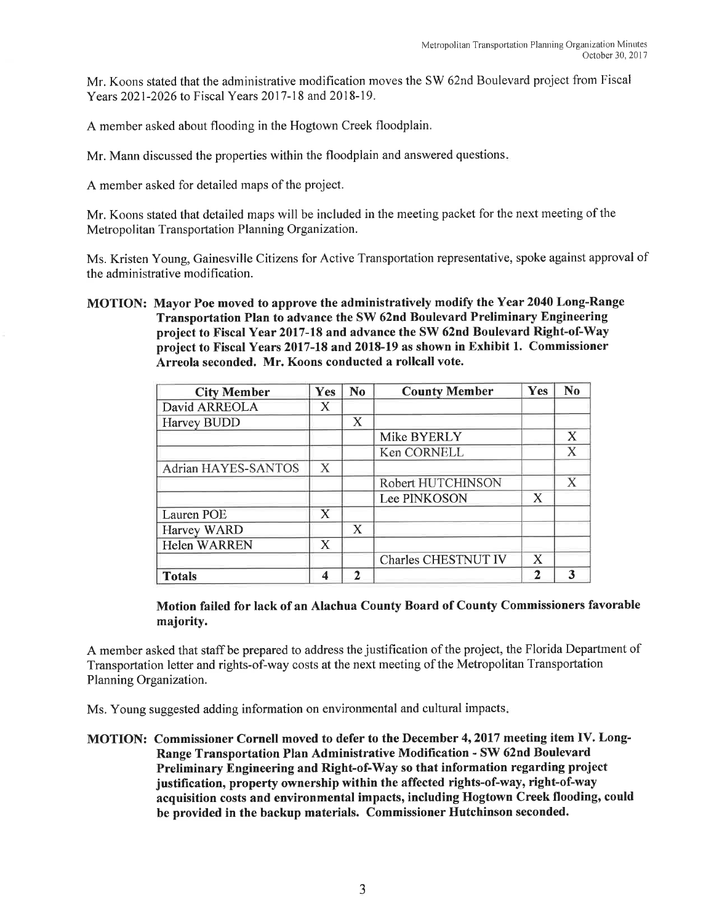Mr. Koons stated that the administrative modification moves the SW 62nd Boulevard project from Fiscal Years 2021-2026 to Fiscal Years 2017-18 and 2018-19.

A member asked about flooding in the Hogtown Creek floodplain.

Mr. Mann discussed the properties within the floodplain and answered questions.

A member asked for detailed maps of the project.

Mr. Koons stated that detailed maps will be included in the meeting packet for the next meeting of the Metropolitan Transportation Planning Organization.

Ms. Kristen Young, Gainesville Citizens for Active Transportation representative, spoke against approval of the administrative modification.

MOTION: Mayor Poe moved to approve the administratively modify the Year 2040 Long-Range Transportation Plan to advance the SW 62nd Boulevard Preliminary Engineering project to Fiscal Year 2017-18 and advance the SW 62nd Boulevard Right-of-Way project to Fiscal Years 2017-18 and 2018-19 as shown in Exhibit 1. Commissioner Arreola seconded. Mr. Koons conducted a rollcall vote.

| <b>City Member</b>         | <b>Yes</b>       | N <sub>o</sub> | <b>County Member</b> | Yes         | N <sub>0</sub> |
|----------------------------|------------------|----------------|----------------------|-------------|----------------|
| David ARREOLA              | X                |                |                      |             |                |
| Harvey BUDD                |                  | X              |                      |             |                |
|                            |                  |                | Mike BYERLY          |             | X.             |
|                            |                  |                | Ken CORNELL          |             | $\mathbf{X}$   |
| <b>Adrian HAYES-SANTOS</b> | $\boldsymbol{X}$ |                |                      |             |                |
|                            |                  |                | Robert HUTCHINSON    |             | X              |
|                            |                  |                | Lee PINKOSON         | X           |                |
| Lauren POE                 | X                |                |                      |             |                |
| Harvey WARD                |                  | X              |                      |             |                |
| <b>Helen WARREN</b>        | X                |                |                      |             |                |
|                            |                  |                | Charles CHESTNUT IV  | X           |                |
| <b>Totals</b>              | 4                | $\mathcal{D}$  |                      | $\mathbf 2$ | 3              |

Motion failed for lack of an Alachua County Board of County Commissioners favorable majority.

A member asked that staff be prepared to address the justification of the project, the Florida Department of Transportation letter and rights-of-way costs at the next meeting of the Metropolitan Transportation Planning Organization.

Ms. Young suggested adding information on environmental and cultural impacts.

MOTION: Commissioner Cornell moved to defer to the December 4, 2017 meeting item IV. Long-Range Transportation Plan Administrative Modification - SW 62nd Boulevard Preliminary Engineering and Right-of-Way so that information regarding project justification, property ownership within the affected rights-of-way, right-of-way acquisition costs and environmental impacts, including Hogtown Creek flooding, could be provided in the backup materials. Commissioner Hutchinson seconded.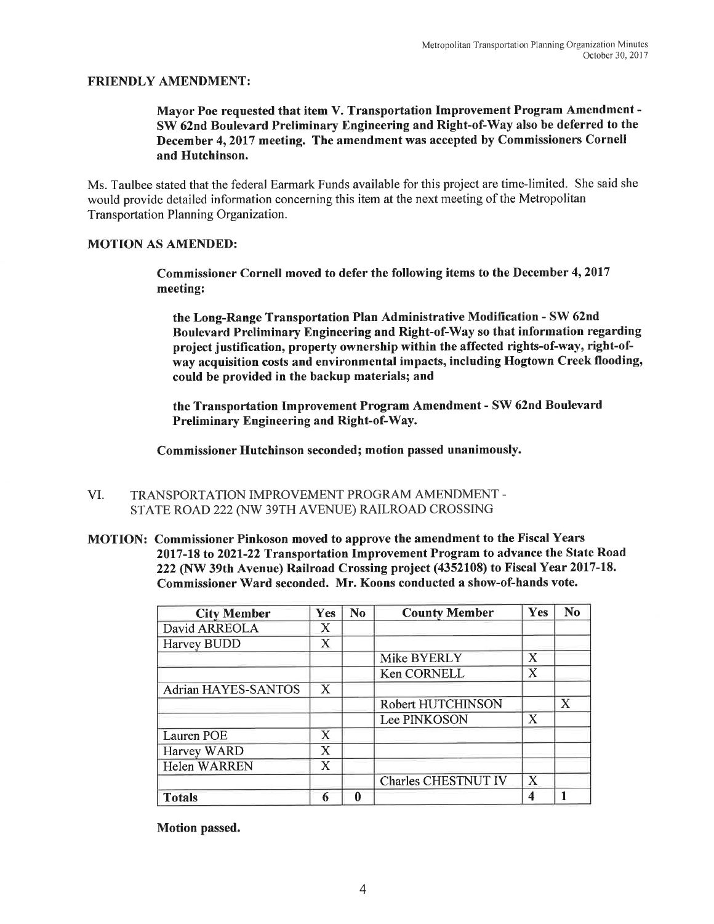# **FRIENDLY AMENDMENT:**

Mayor Poe requested that item V. Transportation Improvement Program Amendment -SW 62nd Boulevard Preliminary Engineering and Right-of-Way also be deferred to the December 4, 2017 meeting. The amendment was accepted by Commissioners Cornell and Hutchinson.

Ms. Taulbee stated that the federal Earmark Funds available for this project are time-limited. She said she would provide detailed information concerning this item at the next meeting of the Metropolitan Transportation Planning Organization.

# **MOTION AS AMENDED:**

Commissioner Cornell moved to defer the following items to the December 4, 2017 meeting:

the Long-Range Transportation Plan Administrative Modification - SW 62nd Boulevard Preliminary Engineering and Right-of-Way so that information regarding project justification, property ownership within the affected rights-of-way, right-ofway acquisition costs and environmental impacts, including Hogtown Creek flooding, could be provided in the backup materials; and

the Transportation Improvement Program Amendment - SW 62nd Boulevard Preliminary Engineering and Right-of-Way.

Commissioner Hutchinson seconded; motion passed unanimously.

#### VI. TRANSPORTATION IMPROVEMENT PROGRAM AMENDMENT -STATE ROAD 222 (NW 39TH AVENUE) RAILROAD CROSSING

MOTION: Commissioner Pinkoson moved to approve the amendment to the Fiscal Years 2017-18 to 2021-22 Transportation Improvement Program to advance the State Road 222 (NW 39th Avenue) Railroad Crossing project (4352108) to Fiscal Year 2017-18. Commissioner Ward seconded. Mr. Koons conducted a show-of-hands vote.

| <b>City Member</b>         | Yes                   | <b>No</b> | <b>County Member</b>       | Yes | N <sub>0</sub> |
|----------------------------|-----------------------|-----------|----------------------------|-----|----------------|
| David ARREOLA              | X                     |           |                            |     |                |
| Harvey BUDD                | X                     |           |                            |     |                |
|                            |                       |           | Mike BYERLY                | Χ   |                |
|                            |                       |           | Ken CORNELL                | X   |                |
| <b>Adrian HAYES-SANTOS</b> | X                     |           |                            |     |                |
|                            |                       |           | Robert HUTCHINSON          |     | X              |
|                            |                       |           | Lee PINKOSON               | X   |                |
| Lauren POE                 | $\overline{\text{X}}$ |           |                            |     |                |
| Harvey WARD                | X                     |           |                            |     |                |
| <b>Helen WARREN</b>        | X                     |           |                            |     |                |
|                            |                       |           | <b>Charles CHESTNUT IV</b> | X   |                |
| <b>Totals</b>              | 6                     | 0         |                            | 4   |                |

Motion passed.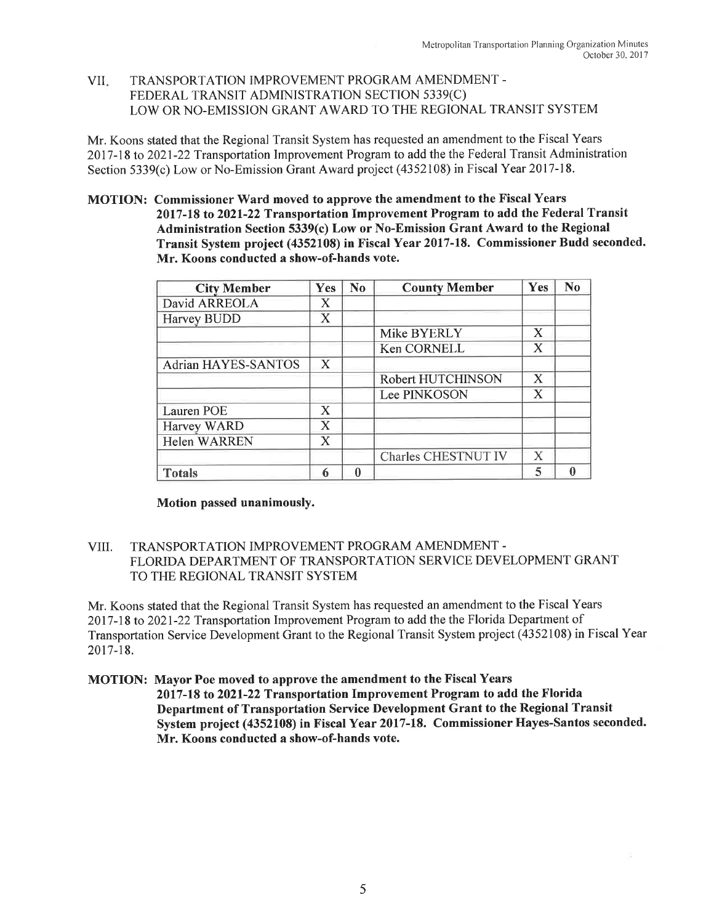### VII. TRANSPORTATION IMPROVEMENT PROGRAM AMENDMENT -FEDERAL TRANSIT ADMINISTRATION SECTION 5339(C) LOW OR NO-EMISSION GRANT AWARD TO THE REGIONAL TRANSIT SYSTEM

Mr. Koons stated that the Regional Transit System has requested an amendment to the Fiscal Years 2017-18 to 2021-22 Transportation Improvement Program to add the the Federal Transit Administration Section 5339(c) Low or No-Emission Grant Award project (4352108) in Fiscal Year 2017-18.

MOTION: Commissioner Ward moved to approve the amendment to the Fiscal Years 2017-18 to 2021-22 Transportation Improvement Program to add the Federal Transit Administration Section 5339(c) Low or No-Emission Grant Award to the Regional Transit System project (4352108) in Fiscal Year 2017-18. Commissioner Budd seconded. Mr. Koons conducted a show-of-hands vote.

| <b>City Member</b>         | Yes | N <sub>o</sub>   | <b>County Member</b>       | Yes                   | N <sub>o</sub> |
|----------------------------|-----|------------------|----------------------------|-----------------------|----------------|
| David ARREOLA              | X   |                  |                            |                       |                |
| Harvey BUDD                | X   |                  |                            |                       |                |
|                            |     |                  | Mike BYERLY                | X                     |                |
|                            |     |                  | Ken CORNELL                | X                     |                |
| <b>Adrian HAYES-SANTOS</b> | X   |                  |                            |                       |                |
|                            |     |                  | Robert HUTCHINSON          | X                     |                |
|                            |     |                  | Lee PINKOSON               | $\overline{\text{X}}$ |                |
| Lauren POE                 | X   |                  |                            |                       |                |
| Harvey WARD                | X   |                  |                            |                       |                |
| Helen WARREN               | X   |                  |                            |                       |                |
|                            |     |                  | <b>Charles CHESTNUT IV</b> | X                     |                |
| <b>Totals</b>              | 6   | $\boldsymbol{0}$ |                            | 5                     |                |

# Motion passed unanimously.

### TRANSPORTATION IMPROVEMENT PROGRAM AMENDMENT -VIII. FLORIDA DEPARTMENT OF TRANSPORTATION SERVICE DEVELOPMENT GRANT TO THE REGIONAL TRANSIT SYSTEM

Mr. Koons stated that the Regional Transit System has requested an amendment to the Fiscal Years 2017-18 to 2021-22 Transportation Improvement Program to add the the Florida Department of Transportation Service Development Grant to the Regional Transit System project (4352108) in Fiscal Year  $2017 - 18.$ 

**MOTION:** Mayor Poe moved to approve the amendment to the Fiscal Years 2017-18 to 2021-22 Transportation Improvement Program to add the Florida Department of Transportation Service Development Grant to the Regional Transit System project (4352108) in Fiscal Year 2017-18. Commissioner Hayes-Santos seconded. Mr. Koons conducted a show-of-hands vote.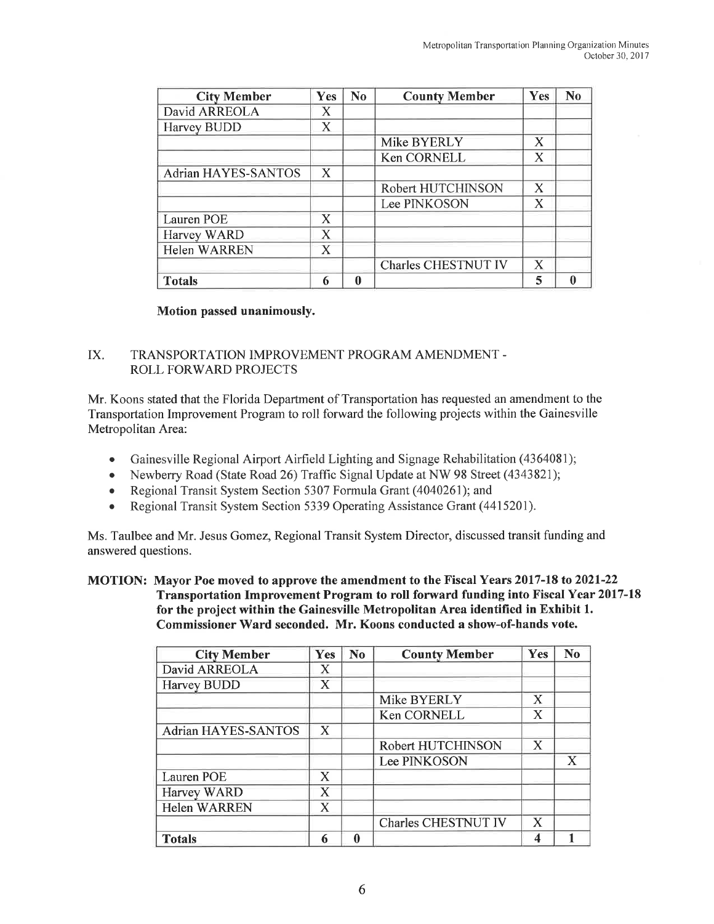| <b>City Member</b>         | <b>Yes</b> | N <sub>0</sub> | <b>County Member</b>       | <b>Yes</b> | N <sub>0</sub> |
|----------------------------|------------|----------------|----------------------------|------------|----------------|
| David ARREOLA              | X          |                |                            |            |                |
| Harvey BUDD                | X          |                |                            |            |                |
|                            |            |                | Mike BYERLY                | X          |                |
|                            |            |                | Ken CORNELL                | X          |                |
| <b>Adrian HAYES-SANTOS</b> | X          |                |                            |            |                |
|                            |            |                | Robert HUTCHINSON          | X          |                |
|                            |            |                | Lee PINKOSON               | $\bf{X}$   |                |
| Lauren POE                 | X          |                |                            |            |                |
| Harvey WARD                | X          |                |                            |            |                |
| <b>Helen WARREN</b>        | X          |                |                            |            |                |
|                            |            |                | <b>Charles CHESTNUT IV</b> | X          |                |
| <b>Totals</b>              | 6          | 0              |                            | 5          |                |

# Motion passed unanimously.

### IX. TRANSPORTATION IMPROVEMENT PROGRAM AMENDMENT -**ROLL FORWARD PROJECTS**

Mr. Koons stated that the Florida Department of Transportation has requested an amendment to the Transportation Improvement Program to roll forward the following projects within the Gainesville Metropolitan Area:

- Gainesville Regional Airport Airfield Lighting and Signage Rehabilitation (4364081);  $\bullet$
- Newberry Road (State Road 26) Traffic Signal Update at NW 98 Street (4343821);  $\bullet$
- Regional Transit System Section 5307 Formula Grant (4040261); and  $\bullet$
- Regional Transit System Section 5339 Operating Assistance Grant (4415201).  $\bullet$

Ms. Taulbee and Mr. Jesus Gomez, Regional Transit System Director, discussed transit funding and answered questions.

# MOTION: Mayor Poe moved to approve the amendment to the Fiscal Years 2017-18 to 2021-22 Transportation Improvement Program to roll forward funding into Fiscal Year 2017-18 for the project within the Gainesville Metropolitan Area identified in Exhibit 1. Commissioner Ward seconded. Mr. Koons conducted a show-of-hands vote.

| <b>City Member</b>         | <b>Yes</b> | N <sub>0</sub> | <b>County Member</b> | Yes                   | No |
|----------------------------|------------|----------------|----------------------|-----------------------|----|
| David ARREOLA              | X          |                |                      |                       |    |
| Harvey BUDD                | X          |                |                      |                       |    |
|                            |            |                | Mike BYERLY          | $\bf{X}$              |    |
|                            |            |                | Ken CORNELL          | $\overline{\text{X}}$ |    |
| <b>Adrian HAYES-SANTOS</b> | X          |                |                      |                       |    |
|                            |            |                | Robert HUTCHINSON    | X                     |    |
|                            |            |                | Lee PINKOSON         |                       | X  |
| Lauren POE                 | X          |                |                      |                       |    |
| Harvey WARD                | X          |                |                      |                       |    |
| <b>Helen WARREN</b>        | X          |                |                      |                       |    |
|                            |            |                | Charles CHESTNUT IV  | $\mathbf X$           |    |
| <b>Totals</b>              | 6          | 0              |                      | 4                     |    |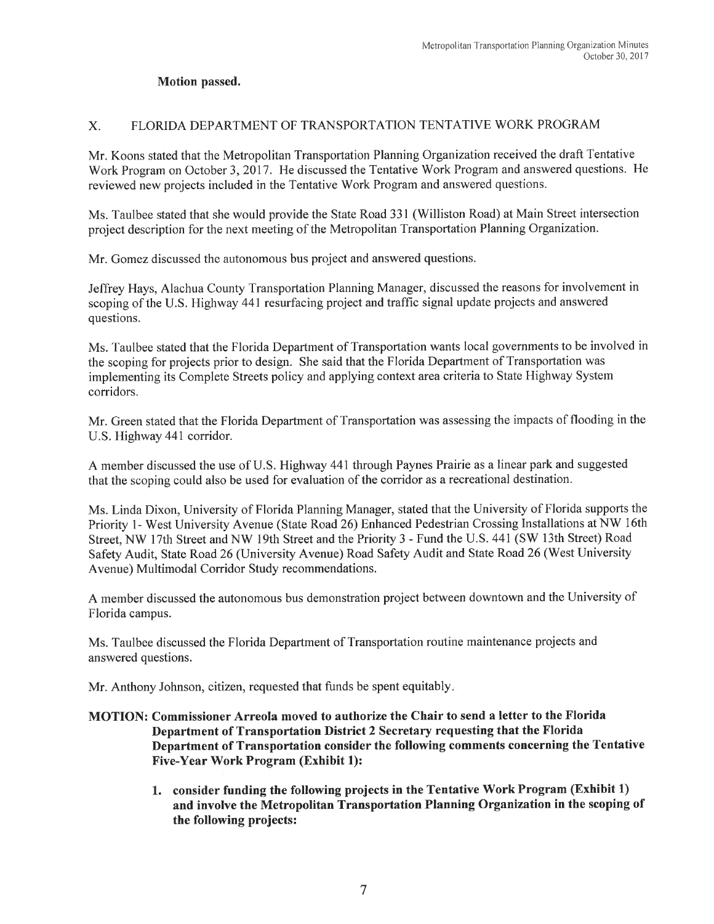# Motion passed.

#### FLORIDA DEPARTMENT OF TRANSPORTATION TENTATIVE WORK PROGRAM  $X_{-}$

Mr. Koons stated that the Metropolitan Transportation Planning Organization received the draft Tentative Work Program on October 3, 2017. He discussed the Tentative Work Program and answered questions. He reviewed new projects included in the Tentative Work Program and answered questions.

Ms. Taulbee stated that she would provide the State Road 331 (Williston Road) at Main Street intersection project description for the next meeting of the Metropolitan Transportation Planning Organization.

Mr. Gomez discussed the autonomous bus project and answered questions.

Jeffrey Hays, Alachua County Transportation Planning Manager, discussed the reasons for involvement in scoping of the U.S. Highway 441 resurfacing project and traffic signal update projects and answered questions.

Ms. Taulbee stated that the Florida Department of Transportation wants local governments to be involved in the scoping for projects prior to design. She said that the Florida Department of Transportation was implementing its Complete Streets policy and applying context area criteria to State Highway System corridors.

Mr. Green stated that the Florida Department of Transportation was assessing the impacts of flooding in the U.S. Highway 441 corridor.

A member discussed the use of U.S. Highway 441 through Paynes Prairie as a linear park and suggested that the scoping could also be used for evaluation of the corridor as a recreational destination.

Ms. Linda Dixon, University of Florida Planning Manager, stated that the University of Florida supports the Priority 1- West University Avenue (State Road 26) Enhanced Pedestrian Crossing Installations at NW 16th Street, NW 17th Street and NW 19th Street and the Priority 3 - Fund the U.S. 441 (SW 13th Street) Road Safety Audit. State Road 26 (University Avenue) Road Safety Audit and State Road 26 (West University Avenue) Multimodal Corridor Study recommendations.

A member discussed the autonomous bus demonstration project between downtown and the University of Florida campus.

Ms. Taulbee discussed the Florida Department of Transportation routine maintenance projects and answered questions.

Mr. Anthony Johnson, citizen, requested that funds be spent equitably.

# MOTION: Commissioner Arreola moved to authorize the Chair to send a letter to the Florida Department of Transportation District 2 Secretary requesting that the Florida Department of Transportation consider the following comments concerning the Tentative **Five-Year Work Program (Exhibit 1):**

1. consider funding the following projects in the Tentative Work Program (Exhibit 1) and involve the Metropolitan Transportation Planning Organization in the scoping of the following projects: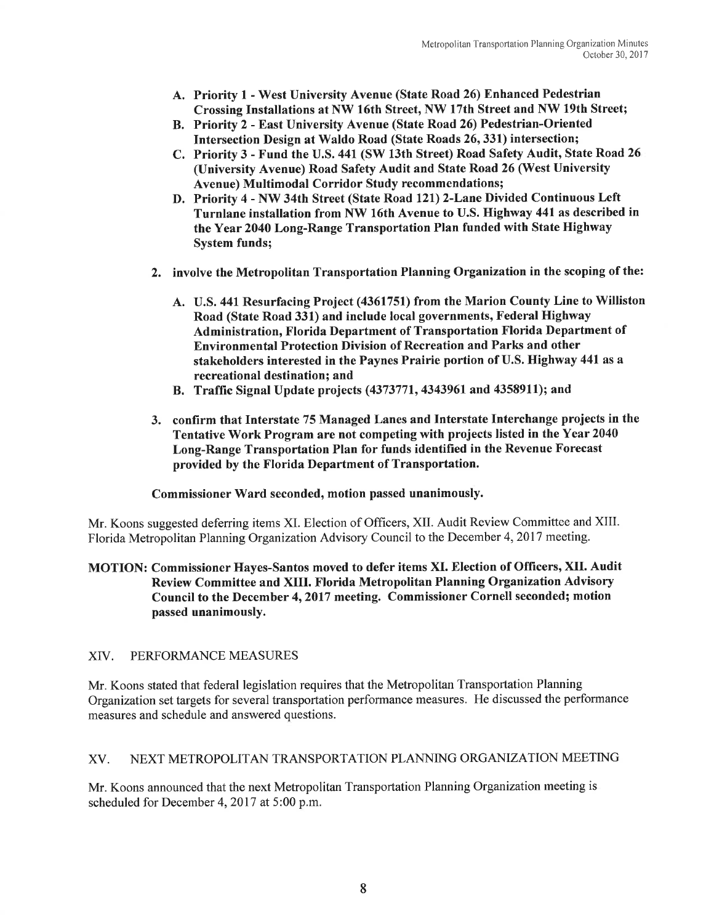- A. Priority 1 West University Avenue (State Road 26) Enhanced Pedestrian Crossing Installations at NW 16th Street, NW 17th Street and NW 19th Street;
- B. Priority 2 East University Avenue (State Road 26) Pedestrian-Oriented Intersection Design at Waldo Road (State Roads 26, 331) intersection;
- C. Priority 3 Fund the U.S. 441 (SW 13th Street) Road Safety Audit, State Road 26 (University Avenue) Road Safety Audit and State Road 26 (West University **Avenue) Multimodal Corridor Study recommendations;**
- D. Priority 4 NW 34th Street (State Road 121) 2-Lane Divided Continuous Left Turnlane installation from NW 16th Avenue to U.S. Highway 441 as described in the Year 2040 Long-Range Transportation Plan funded with State Highway **System funds;**
- 2. involve the Metropolitan Transportation Planning Organization in the scoping of the:
	- A. U.S. 441 Resurfacing Project (4361751) from the Marion County Line to Williston Road (State Road 331) and include local governments, Federal Highway Administration, Florida Department of Transportation Florida Department of **Environmental Protection Division of Recreation and Parks and other** stakeholders interested in the Paynes Prairie portion of U.S. Highway 441 as a recreational destination; and
	- B. Traffic Signal Update projects (4373771, 4343961 and 4358911); and
- 3. confirm that Interstate 75 Managed Lanes and Interstate Interchange projects in the Tentative Work Program are not competing with projects listed in the Year 2040 Long-Range Transportation Plan for funds identified in the Revenue Forecast provided by the Florida Department of Transportation.

## Commissioner Ward seconded, motion passed unanimously.

Mr. Koons suggested deferring items XI. Election of Officers, XII. Audit Review Committee and XIII. Florida Metropolitan Planning Organization Advisory Council to the December 4, 2017 meeting.

# MOTION: Commissioner Hayes-Santos moved to defer items XI. Election of Officers, XII. Audit Review Committee and XIII. Florida Metropolitan Planning Organization Advisory Council to the December 4, 2017 meeting. Commissioner Cornell seconded; motion passed unanimously.

#### XIV. PERFORMANCE MEASURES

Mr. Koons stated that federal legislation requires that the Metropolitan Transportation Planning Organization set targets for several transportation performance measures. He discussed the performance measures and schedule and answered questions.

#### NEXT METROPOLITAN TRANSPORTATION PLANNING ORGANIZATION MEETING XV.

Mr. Koons announced that the next Metropolitan Transportation Planning Organization meeting is scheduled for December 4, 2017 at 5:00 p.m.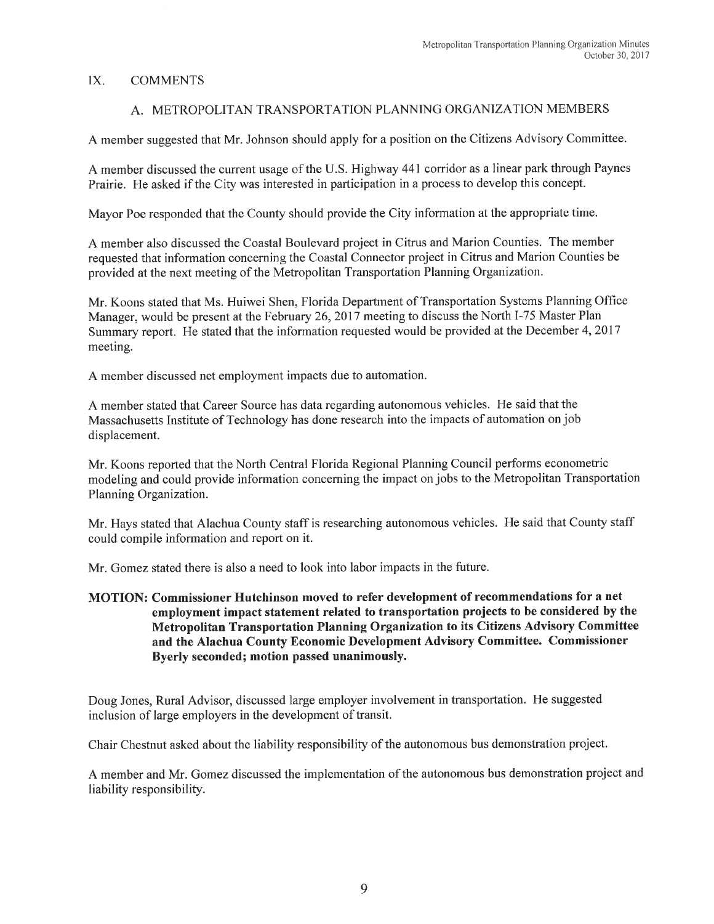#### $IX.$ **COMMENTS**

# A. METROPOLITAN TRANSPORTATION PLANNING ORGANIZATION MEMBERS

A member suggested that Mr. Johnson should apply for a position on the Citizens Advisory Committee.

A member discussed the current usage of the U.S. Highway 441 corridor as a linear park through Paynes Prairie. He asked if the City was interested in participation in a process to develop this concept.

Mayor Poe responded that the County should provide the City information at the appropriate time.

A member also discussed the Coastal Boulevard project in Citrus and Marion Counties. The member requested that information concerning the Coastal Connector project in Citrus and Marion Counties be provided at the next meeting of the Metropolitan Transportation Planning Organization.

Mr. Koons stated that Ms. Huiwei Shen, Florida Department of Transportation Systems Planning Office Manager, would be present at the February 26, 2017 meeting to discuss the North I-75 Master Plan Summary report. He stated that the information requested would be provided at the December 4, 2017 meeting.

A member discussed net employment impacts due to automation.

A member stated that Career Source has data regarding autonomous vehicles. He said that the Massachusetts Institute of Technology has done research into the impacts of automation on job displacement.

Mr. Koons reported that the North Central Florida Regional Planning Council performs econometric modeling and could provide information concerning the impact on jobs to the Metropolitan Transportation Planning Organization.

Mr. Hays stated that Alachua County staff is researching autonomous vehicles. He said that County staff could compile information and report on it.

Mr. Gomez stated there is also a need to look into labor impacts in the future.

# MOTION: Commissioner Hutchinson moved to refer development of recommendations for a net employment impact statement related to transportation projects to be considered by the Metropolitan Transportation Planning Organization to its Citizens Advisory Committee and the Alachua County Economic Development Advisory Committee. Commissioner Byerly seconded; motion passed unanimously.

Doug Jones, Rural Advisor, discussed large employer involvement in transportation. He suggested inclusion of large employers in the development of transit.

Chair Chestnut asked about the liability responsibility of the autonomous bus demonstration project.

A member and Mr. Gomez discussed the implementation of the autonomous bus demonstration project and liability responsibility.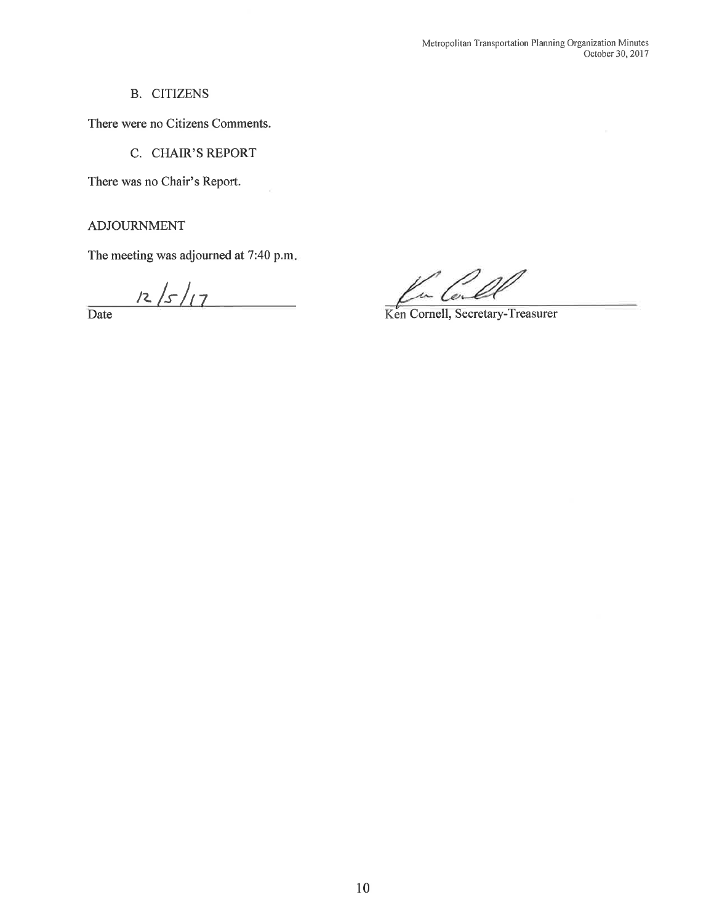**B.** CITIZENS

There were no Citizens Comments.

C. CHAIR'S REPORT

There was no Chair's Report.

## **ADJOURNMENT**

The meeting was adjourned at 7:40 p.m.

 $12/5/17$ 

Date

Ku Coll

Ken Cornell, Secretary-Treasurer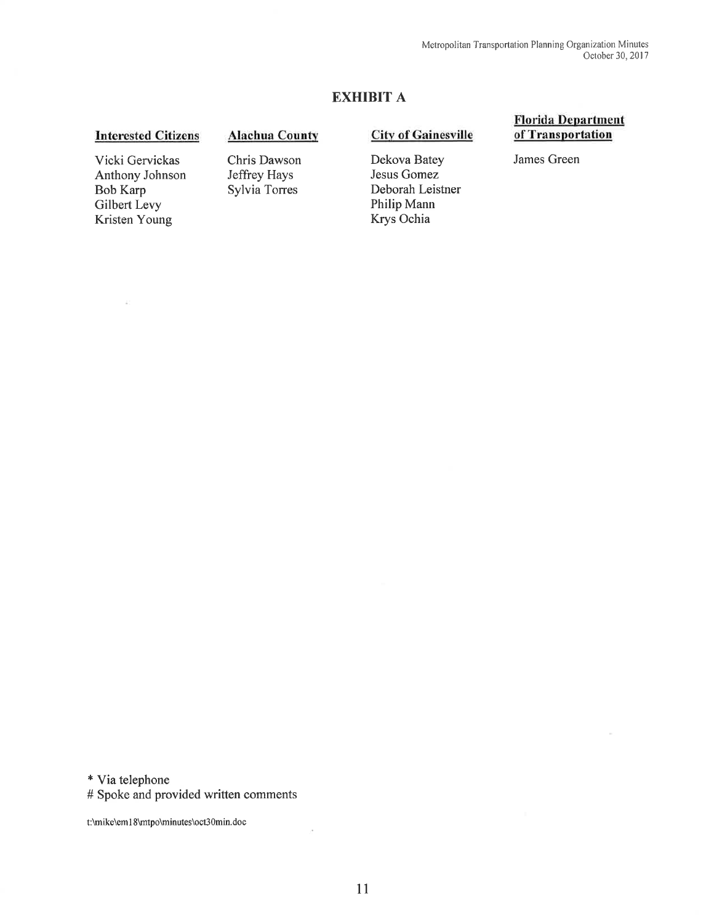# **EXHIBIT A**

# **Interested Citizens**

Vicki Gervickas Anthony Johnson Bob Karp Gilbert Levy Kristen Young

Chris Dawson Jeffrey Hays Sylvia Torres

**Alachua County** 

# **City of Gainesville**

Dekova Batey Jesus Gomez Deborah Leistner Philip Mann Krys Ochia

# **Florida Department** of Transportation

James Green

\* Via telephone

# Spoke and provided written comments

t:\mike\em18\mtpo\minutes\oct30min.doc

 $\lambda$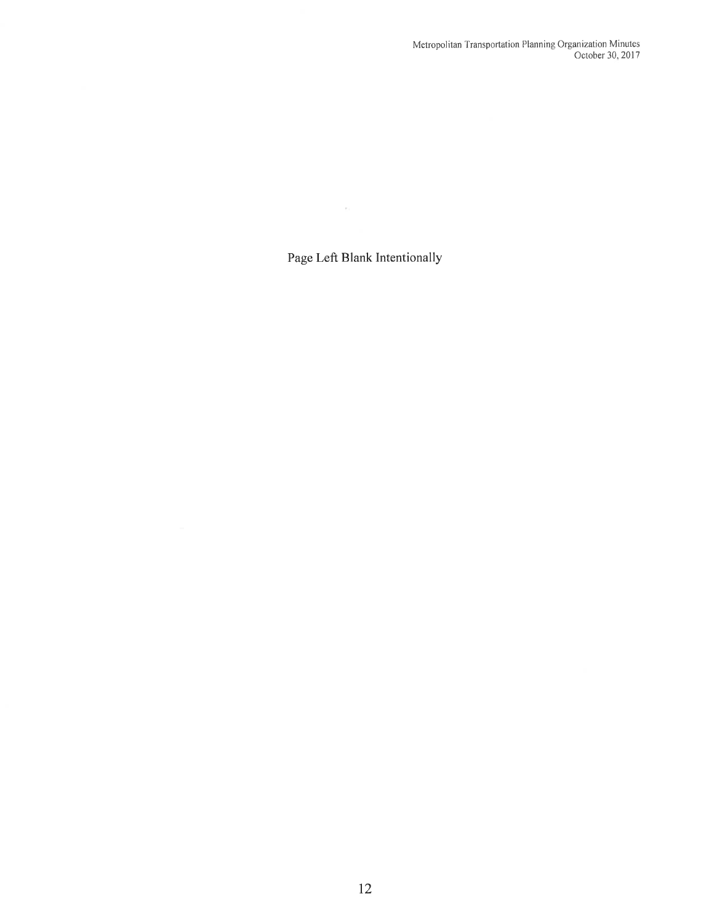Page Left Blank Intentionally

 $\epsilon$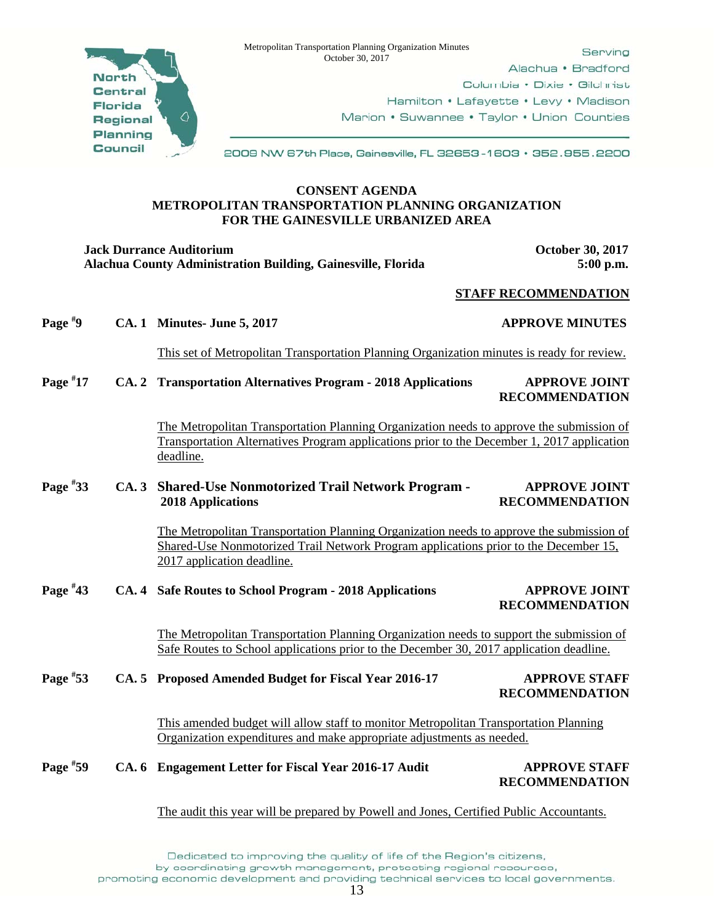

2009 NW 67th Place, Gainesville, FL 32653-1603 · 352.955.2200

### **CONSENT AGENDA METROPOLITAN TRANSPORTATION PLANNING ORGANIZATION FOR THE GAINESVILLE URBANIZED AREA**

## **Jack Durrance Auditorium October 30, 2017 Alachua County Administration Building, Gainesville, Florida 5:00 p.m.**

### **STAFF RECOMMENDATION**

**Page # 9 CA. 1 Minutes- June 5, 2017 APPROVE MINUTES** 

This set of Metropolitan Transportation Planning Organization minutes is ready for review.

**Page # 17 CA. 2 Transportation Alternatives Program - 2018 Applications APPROVE JOINT RECOMMENDATION** 

> The Metropolitan Transportation Planning Organization needs to approve the submission of Transportation Alternatives Program applications prior to the December 1, 2017 application deadline.

### **Page # 33 CA. 3 Shared-Use Nonmotorized Trail Network Program - APPROVE JOINT 2018 Applications RECOMMENDATION**

The Metropolitan Transportation Planning Organization needs to approve the submission of Shared-Use Nonmotorized Trail Network Program applications prior to the December 15, 2017 application deadline.

**Page # 43 CA. 4 Safe Routes to School Program - 2018 Applications APPROVE JOINT RECOMMENDATION** 

> The Metropolitan Transportation Planning Organization needs to support the submission of Safe Routes to School applications prior to the December 30, 2017 application deadline.

#### **Page # 53 CA. 5 Proposed Amended Budget for Fiscal Year 2016-17 APPROVE STAFF RECOMMENDATION**

 This amended budget will allow staff to monitor Metropolitan Transportation Planning Organization expenditures and make appropriate adjustments as needed.

#### **Page # 59 CA. 6 Engagement Letter for Fiscal Year 2016-17 Audit APPROVE STAFF RECOMMENDATION**

The audit this year will be prepared by Powell and Jones, Certified Public Accountants.